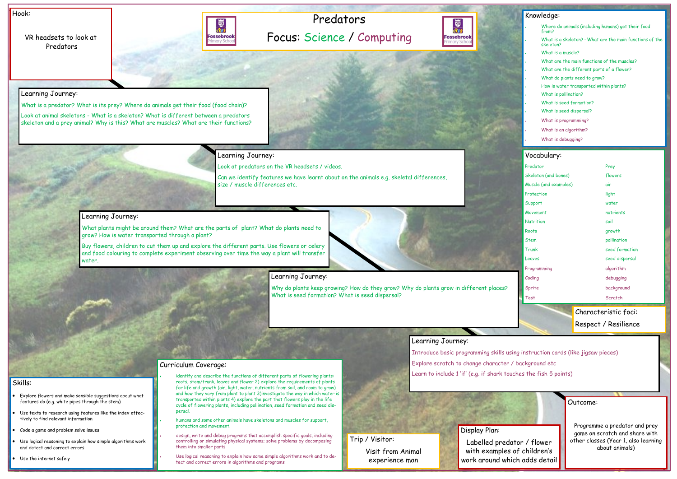# Predators Focus: Science / Computing



VR headsets to look at **Predators** 



Hook:

Outcome:

Programme a predator and prey game on scratch and share with other classes (Year 1, also learning about animals)

- Explore flowers and make sensible suggestions about what features do (e.g. white pipes through the stem)
- Use texts to research using features like the index effectively to find relevant information
- Code a game and problem solve issues
- Use logical reasoning to explain how simple algorithms work and detect and correct errors
- Use the internet safely

#### Skills:

Buy flowers, children to cut them up and explore the different parts. Use flowers or celery and food colouring to complete experiment observing over time the way a plant will transfer water



### Learning Journey:

What is a predator? What is its prey? Where do animals get their food (food chain)?

Look at animal skeletons - What is a skeleton? What is different between a predators skeleton and a prey animal? Why is this? What are muscles? What are their functions?

Learning Journey:

Look at predators on the VR headsets / videos.

Can we identify features we have learnt about on the animals e.g. skeletal differences, size / muscle differences etc.

- identify and describe the functions of different parts of flowering plants: roots, stem/trunk, leaves and flower 2) explore the requirements of plants for life and growth (air, light, water, nutrients from soil, and room to grow) and how they vary from plant to plant 3)investigate the way in which water is transported within plants 4) explore the part that flowers play in the life
- humans and some other animals have skeletons and muscles for support, protection and movement.
- design, write and debug programs that accomplish specific goals, including controlling or simulating physical systems; solve problems by decomposing them into smaller parts

### Learning Journey:

What plants might be around them? What are the parts of plant? What do plants need to grow? How is water transported through a plant?

| Knowledge:            |                                                                                     |                |
|-----------------------|-------------------------------------------------------------------------------------|----------------|
|                       |                                                                                     |                |
|                       | Where do animals (including humans) get their food<br>from?                         |                |
|                       | What is a skeleton? $\cdot$ What are the main functions of the<br>skeleton <b>?</b> |                |
|                       | What is a muscle?                                                                   |                |
|                       | What are the main functions of the muscles?                                         |                |
|                       | What are the different parts of a flower?                                           |                |
|                       | What do plants need to grow?                                                        |                |
|                       | How is water transported within plants?                                             |                |
|                       | What is pollination?                                                                |                |
|                       | What is seed formation?                                                             |                |
|                       | What is seed dispersal?                                                             |                |
|                       | What is programming?                                                                |                |
|                       | What is an algorithm?                                                               |                |
|                       | What is debugging?                                                                  |                |
|                       |                                                                                     |                |
|                       | Vocabulary:                                                                         |                |
|                       | Predator                                                                            | Prey           |
| Skeleton (and bones)  |                                                                                     | flowers        |
| Muscle (and examples) |                                                                                     | air            |
| Protection            |                                                                                     | light          |
| Support               |                                                                                     | water          |
| Movement              |                                                                                     | nutrients      |
| Nutrition             |                                                                                     | soil           |
| Roots                 |                                                                                     | growth         |
| Stem                  |                                                                                     | pollination    |
| Trunk                 |                                                                                     | seed formation |
| Leaves                |                                                                                     | seed dispersal |

Programming algorithm

Coding coding coding and coding the coding debugging Sprite **background** 

Test Scratch

## Learning Journey:

Why do plants keep growing? How do they grow? Why do plants grow in different places? What is seed formation? What is seed dispersal?

#### Learning Journey:

Introduce basic programming skills using instruction cards (like jigsaw pieces) Explore scratch to change character / background etc Learn to include 1 'if' (e.g. if shark touches the fish 5 points)

Curriculum Coverage:

cycle of flowering plants, including pollination, seed formation and seed dis-

persal.

• Use logical reasoning to explain how some simple algorithms work and to detect and correct errors in algorithms and programs

### Display Plan:

Labelled predator / flower with examples of children's work around which adds detail

Trip / Visitor: Visit from Animal experience man

Characteristic foci:

Respect / Resilience